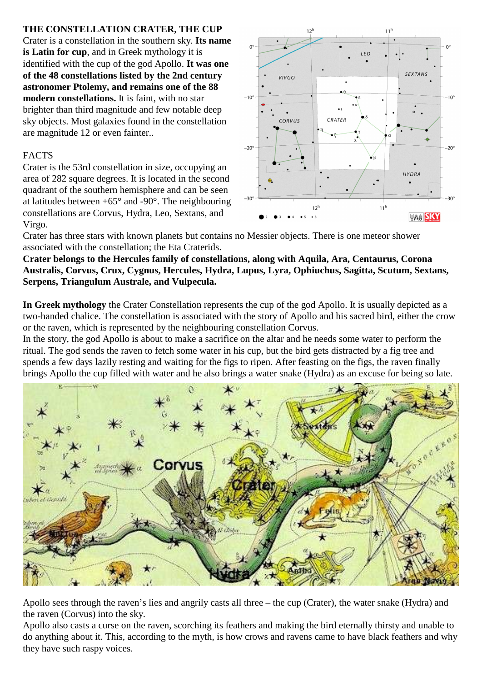## **THE CONSTELLATION CRATER, THE CUP**

Crater is a constellation in the southern sky. **Its name is Latin for cup**, and in Greek mythology it is identified with the cup of the god Apollo. **It was one of the 48 constellations listed by the 2nd century astronomer Ptolemy, and remains one of the 88 modern constellations.** It is faint, with no star brighter than third magnitude and few notable deep sky objects. Most galaxies found in the constellation are magnitude 12 or even fainter..

## FACTS

Crater is the 53rd constellation in size, occupying an area of 282 square degrees. It is located in the second quadrant of the southern hemisphere and can be seen at latitudes between  $+65^{\circ}$  and  $-90^{\circ}$ . The neighbouring constellations are Corvus, Hydra, Leo, Sextans, and Virgo.



Crater has three stars with known planets but contains no Messier objects. There is one meteor shower associated with the constellation; the Eta Craterids.

**Crater belongs to the Hercules family of constellations, along with Aquila, Ara, Centaurus, Corona Australis, Corvus, Crux, Cygnus, Hercules, Hydra, Lupus, Lyra, Ophiuchus, Sagitta, Scutum, Sextans, Serpens, Triangulum Australe, and Vulpecula.**

**In Greek mythology** the Crater Constellation represents the cup of the god Apollo. It is usually depicted as a two-handed chalice. The constellation is associated with the story of Apollo and his sacred bird, either the crow or the raven, which is represented by the neighbouring constellation Corvus.

In the story, the god Apollo is about to make a sacrifice on the altar and he needs some water to perform the ritual. The god sends the raven to fetch some water in his cup, but the bird gets distracted by a fig tree and spends a few days lazily resting and waiting for the figs to ripen. After feasting on the figs, the raven finally brings Apollo the cup filled with water and he also brings a water snake (Hydra) as an excuse for being so late.



Apollo sees through the raven's lies and angrily casts all three – the cup (Crater), the water snake (Hydra) and the raven (Corvus) into the sky.

Apollo also casts a curse on the raven, scorching its feathers and making the bird eternally thirsty and unable to do anything about it. This, according to the myth, is how crows and ravens came to have black feathers and why they have such raspy voices.